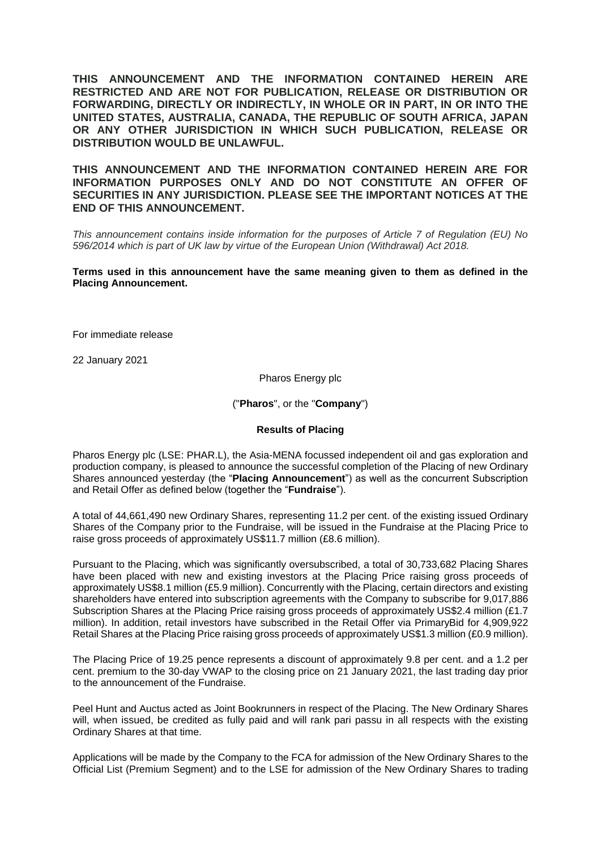**THIS ANNOUNCEMENT AND THE INFORMATION CONTAINED HEREIN ARE RESTRICTED AND ARE NOT FOR PUBLICATION, RELEASE OR DISTRIBUTION OR FORWARDING, DIRECTLY OR INDIRECTLY, IN WHOLE OR IN PART, IN OR INTO THE UNITED STATES, AUSTRALIA, CANADA, THE REPUBLIC OF SOUTH AFRICA, JAPAN OR ANY OTHER JURISDICTION IN WHICH SUCH PUBLICATION, RELEASE OR DISTRIBUTION WOULD BE UNLAWFUL.**

**THIS ANNOUNCEMENT AND THE INFORMATION CONTAINED HEREIN ARE FOR INFORMATION PURPOSES ONLY AND DO NOT CONSTITUTE AN OFFER OF SECURITIES IN ANY JURISDICTION. PLEASE SEE THE IMPORTANT NOTICES AT THE END OF THIS ANNOUNCEMENT.**

*This announcement contains inside information for the purposes of Article 7 of Regulation (EU) No 596/2014 which is part of UK law by virtue of the European Union (Withdrawal) Act 2018.*

**Terms used in this announcement have the same meaning given to them as defined in the Placing Announcement.**

For immediate release

22 January 2021

Pharos Energy plc

("**Pharos**", or the "**Company**")

#### **Results of Placing**

Pharos Energy plc (LSE: PHAR.L), the Asia-MENA focussed independent oil and gas exploration and production company, is pleased to announce the successful completion of the Placing of new Ordinary Shares announced yesterday (the "**Placing Announcement**") as well as the concurrent Subscription and Retail Offer as defined below (together the "**Fundraise**").

A total of 44,661,490 new Ordinary Shares, representing 11.2 per cent. of the existing issued Ordinary Shares of the Company prior to the Fundraise, will be issued in the Fundraise at the Placing Price to raise gross proceeds of approximately US\$11.7 million (£8.6 million).

Pursuant to the Placing, which was significantly oversubscribed, a total of 30,733,682 Placing Shares have been placed with new and existing investors at the Placing Price raising gross proceeds of approximately US\$8.1 million (£5.9 million). Concurrently with the Placing, certain directors and existing shareholders have entered into subscription agreements with the Company to subscribe for 9,017,886 Subscription Shares at the Placing Price raising gross proceeds of approximately US\$2.4 million (£1.7 million). In addition, retail investors have subscribed in the Retail Offer via PrimaryBid for 4,909,922 Retail Shares at the Placing Price raising gross proceeds of approximately US\$1.3 million (£0.9 million).

The Placing Price of 19.25 pence represents a discount of approximately 9.8 per cent. and a 1.2 per cent. premium to the 30-day VWAP to the closing price on 21 January 2021, the last trading day prior to the announcement of the Fundraise.

Peel Hunt and Auctus acted as Joint Bookrunners in respect of the Placing. The New Ordinary Shares will, when issued, be credited as fully paid and will rank pari passu in all respects with the existing Ordinary Shares at that time.

Applications will be made by the Company to the FCA for admission of the New Ordinary Shares to the Official List (Premium Segment) and to the LSE for admission of the New Ordinary Shares to trading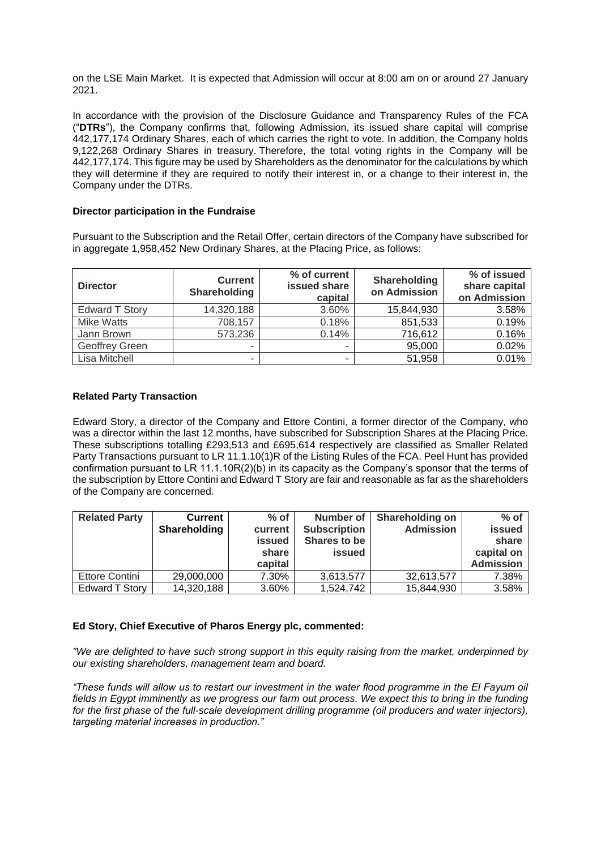on the LSE Main Market. It is expected that Admission will occur at 8:00 am on or around 27 January 2021.

In accordance with the provision of the Disclosure Guidance and Transparency Rules of the FCA ("**DTRs**"), the Company confirms that, following Admission, its issued share capital will comprise 442,177,174 Ordinary Shares, each of which carries the right to vote. In addition, the Company holds 9,122,268 Ordinary Shares in treasury. Therefore, the total voting rights in the Company will be 442,177,174. This figure may be used by Shareholders as the denominator for the calculations by which they will determine if they are required to notify their interest in, or a change to their interest in, the Company under the DTRs.

### **Director participation in the Fundraise**

Pursuant to the Subscription and the Retail Offer, certain directors of the Company have subscribed for in aggregate 1,958,452 New Ordinary Shares, at the Placing Price, as follows:

| <b>Director</b>       | <b>Current</b><br>Shareholding | % of current<br>issued share<br>capital | Shareholding<br>on Admission | % of issued<br>share capital<br>on Admission |
|-----------------------|--------------------------------|-----------------------------------------|------------------------------|----------------------------------------------|
| <b>Edward T Story</b> | 14,320,188                     | 3.60%                                   | 15,844,930                   | 3.58%                                        |
| <b>Mike Watts</b>     | 708,157                        | 0.18%                                   | 851,533                      | 0.19%                                        |
| Jann Brown            | 573,236                        | 0.14%                                   | 716,612                      | 0.16%                                        |
| Geoffrey Green        |                                |                                         | 95,000                       | 0.02%                                        |
| Lisa Mitchell         |                                |                                         | 51,958                       | 0.01%                                        |

# **Related Party Transaction**

Edward Story, a director of the Company and Ettore Contini, a former director of the Company, who was a director within the last 12 months, have subscribed for Subscription Shares at the Placing Price. These subscriptions totalling £293,513 and £695,614 respectively are classified as Smaller Related Party Transactions pursuant to LR 11.1.10(1)R of the Listing Rules of the FCA. Peel Hunt has provided confirmation pursuant to LR 11.1.10R(2)(b) in its capacity as the Company's sponsor that the terms of the subscription by Ettore Contini and Edward T Story are fair and reasonable as far as the shareholders of the Company are concerned.

| <b>Related Party</b> | <b>Current</b><br>Shareholding | $%$ of<br>current<br>issued<br>share<br>capital | Number of<br><b>Subscription</b><br>Shares to be<br><b>issued</b> | <b>Shareholding on</b><br><b>Admission</b> | $%$ of<br>issued<br>share<br>capital on<br><b>Admission</b> |
|----------------------|--------------------------------|-------------------------------------------------|-------------------------------------------------------------------|--------------------------------------------|-------------------------------------------------------------|
| Ettore Contini       | 29,000,000                     | 7.30%                                           | 3,613,577                                                         | 32,613,577                                 | 7.38%                                                       |
| Edward T Story       | 14,320,188                     | 3.60%                                           | 1,524,742                                                         | 15,844,930                                 | 3.58%                                                       |

# **Ed Story, Chief Executive of Pharos Energy plc, commented:**

*"We are delighted to have such strong support in this equity raising from the market, underpinned by our existing shareholders, management team and board.*

*"These funds will allow us to restart our investment in the water flood programme in the El Fayum oil fields in Egypt imminently as we progress our farm out process. We expect this to bring in the funding*  for the first phase of the full-scale development drilling programme (oil producers and water injectors), *targeting material increases in production."*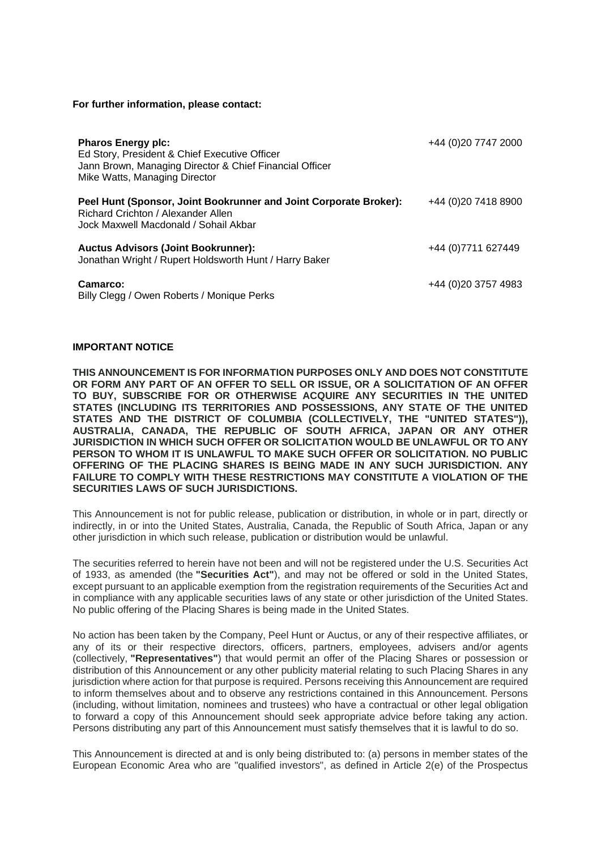#### **For further information, please contact:**

| <b>Pharos Energy plc:</b><br>Ed Story, President & Chief Executive Officer<br>Jann Brown, Managing Director & Chief Financial Officer<br>Mike Watts, Managing Director | +44 (0)20 7747 2000  |
|------------------------------------------------------------------------------------------------------------------------------------------------------------------------|----------------------|
| Peel Hunt (Sponsor, Joint Bookrunner and Joint Corporate Broker):<br>Richard Crichton / Alexander Allen<br>Jock Maxwell Macdonald / Sohail Akbar                       | +44 (0) 20 7418 8900 |
| <b>Auctus Advisors (Joint Bookrunner):</b><br>Jonathan Wright / Rupert Holdsworth Hunt / Harry Baker                                                                   | +44 (0) 7711 627449  |
| Camarco:<br>Billy Clegg / Owen Roberts / Monique Perks                                                                                                                 | +44 (0)20 3757 4983  |

### **IMPORTANT NOTICE**

**THIS ANNOUNCEMENT IS FOR INFORMATION PURPOSES ONLY AND DOES NOT CONSTITUTE OR FORM ANY PART OF AN OFFER TO SELL OR ISSUE, OR A SOLICITATION OF AN OFFER TO BUY, SUBSCRIBE FOR OR OTHERWISE ACQUIRE ANY SECURITIES IN THE UNITED STATES (INCLUDING ITS TERRITORIES AND POSSESSIONS, ANY STATE OF THE UNITED STATES AND THE DISTRICT OF COLUMBIA (COLLECTIVELY, THE "UNITED STATES")), AUSTRALIA, CANADA, THE REPUBLIC OF SOUTH AFRICA, JAPAN OR ANY OTHER JURISDICTION IN WHICH SUCH OFFER OR SOLICITATION WOULD BE UNLAWFUL OR TO ANY PERSON TO WHOM IT IS UNLAWFUL TO MAKE SUCH OFFER OR SOLICITATION. NO PUBLIC OFFERING OF THE PLACING SHARES IS BEING MADE IN ANY SUCH JURISDICTION. ANY FAILURE TO COMPLY WITH THESE RESTRICTIONS MAY CONSTITUTE A VIOLATION OF THE SECURITIES LAWS OF SUCH JURISDICTIONS.**

This Announcement is not for public release, publication or distribution, in whole or in part, directly or indirectly, in or into the United States, Australia, Canada, the Republic of South Africa, Japan or any other jurisdiction in which such release, publication or distribution would be unlawful.

The securities referred to herein have not been and will not be registered under the U.S. Securities Act of 1933, as amended (the **"Securities Act"**), and may not be offered or sold in the United States, except pursuant to an applicable exemption from the registration requirements of the Securities Act and in compliance with any applicable securities laws of any state or other jurisdiction of the United States. No public offering of the Placing Shares is being made in the United States.

No action has been taken by the Company, Peel Hunt or Auctus, or any of their respective affiliates, or any of its or their respective directors, officers, partners, employees, advisers and/or agents (collectively, **"Representatives"**) that would permit an offer of the Placing Shares or possession or distribution of this Announcement or any other publicity material relating to such Placing Shares in any jurisdiction where action for that purpose is required. Persons receiving this Announcement are required to inform themselves about and to observe any restrictions contained in this Announcement. Persons (including, without limitation, nominees and trustees) who have a contractual or other legal obligation to forward a copy of this Announcement should seek appropriate advice before taking any action. Persons distributing any part of this Announcement must satisfy themselves that it is lawful to do so.

This Announcement is directed at and is only being distributed to: (a) persons in member states of the European Economic Area who are "qualified investors", as defined in Article 2(e) of the Prospectus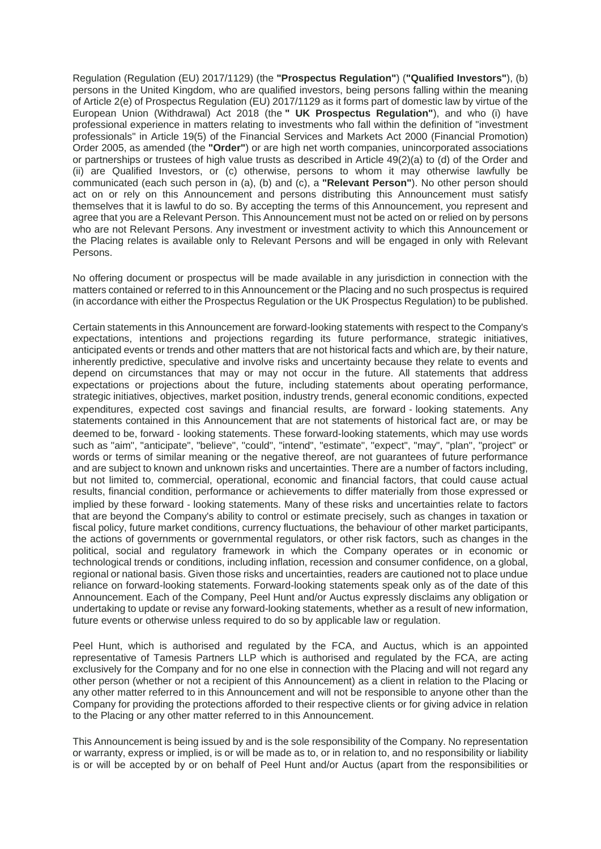Regulation (Regulation (EU) 2017/1129) (the **"Prospectus Regulation"**) (**"Qualified Investors"**), (b) persons in the United Kingdom, who are qualified investors, being persons falling within the meaning of Article 2(e) of Prospectus Regulation (EU) 2017/1129 as it forms part of domestic law by virtue of the European Union (Withdrawal) Act 2018 (the **" UK Prospectus Regulation"**), and who (i) have professional experience in matters relating to investments who fall within the definition of "investment professionals" in Article 19(5) of the Financial Services and Markets Act 2000 (Financial Promotion) Order 2005, as amended (the **"Order"**) or are high net worth companies, unincorporated associations or partnerships or trustees of high value trusts as described in Article 49(2)(a) to (d) of the Order and (ii) are Qualified Investors, or (c) otherwise, persons to whom it may otherwise lawfully be communicated (each such person in (a), (b) and (c), a **"Relevant Person"**). No other person should act on or rely on this Announcement and persons distributing this Announcement must satisfy themselves that it is lawful to do so. By accepting the terms of this Announcement, you represent and agree that you are a Relevant Person. This Announcement must not be acted on or relied on by persons who are not Relevant Persons. Any investment or investment activity to which this Announcement or the Placing relates is available only to Relevant Persons and will be engaged in only with Relevant Persons.

No offering document or prospectus will be made available in any jurisdiction in connection with the matters contained or referred to in this Announcement or the Placing and no such prospectus is required (in accordance with either the Prospectus Regulation or the UK Prospectus Regulation) to be published.

Certain statements in this Announcement are forward-looking statements with respect to the Company's expectations, intentions and projections regarding its future performance, strategic initiatives, anticipated events or trends and other matters that are not historical facts and which are, by their nature, inherently predictive, speculative and involve risks and uncertainty because they relate to events and depend on circumstances that may or may not occur in the future. All statements that address expectations or projections about the future, including statements about operating performance, strategic initiatives, objectives, market position, industry trends, general economic conditions, expected expenditures, expected cost savings and financial results, are forward ‐ looking statements. Any statements contained in this Announcement that are not statements of historical fact are, or may be deemed to be, forward ‐ looking statements. These forward-looking statements, which may use words such as "aim", "anticipate", "believe", "could", "intend", "estimate", "expect", "may", "plan", "project" or words or terms of similar meaning or the negative thereof, are not guarantees of future performance and are subject to known and unknown risks and uncertainties. There are a number of factors including, but not limited to, commercial, operational, economic and financial factors, that could cause actual results, financial condition, performance or achievements to differ materially from those expressed or implied by these forward ‐ looking statements. Many of these risks and uncertainties relate to factors that are beyond the Company's ability to control or estimate precisely, such as changes in taxation or fiscal policy, future market conditions, currency fluctuations, the behaviour of other market participants, the actions of governments or governmental regulators, or other risk factors, such as changes in the political, social and regulatory framework in which the Company operates or in economic or technological trends or conditions, including inflation, recession and consumer confidence, on a global, regional or national basis. Given those risks and uncertainties, readers are cautioned not to place undue reliance on forward-looking statements. Forward-looking statements speak only as of the date of this Announcement. Each of the Company, Peel Hunt and/or Auctus expressly disclaims any obligation or undertaking to update or revise any forward-looking statements, whether as a result of new information, future events or otherwise unless required to do so by applicable law or regulation.

Peel Hunt, which is authorised and regulated by the FCA, and Auctus, which is an appointed representative of Tamesis Partners LLP which is authorised and regulated by the FCA, are acting exclusively for the Company and for no one else in connection with the Placing and will not regard any other person (whether or not a recipient of this Announcement) as a client in relation to the Placing or any other matter referred to in this Announcement and will not be responsible to anyone other than the Company for providing the protections afforded to their respective clients or for giving advice in relation to the Placing or any other matter referred to in this Announcement.

This Announcement is being issued by and is the sole responsibility of the Company. No representation or warranty, express or implied, is or will be made as to, or in relation to, and no responsibility or liability is or will be accepted by or on behalf of Peel Hunt and/or Auctus (apart from the responsibilities or